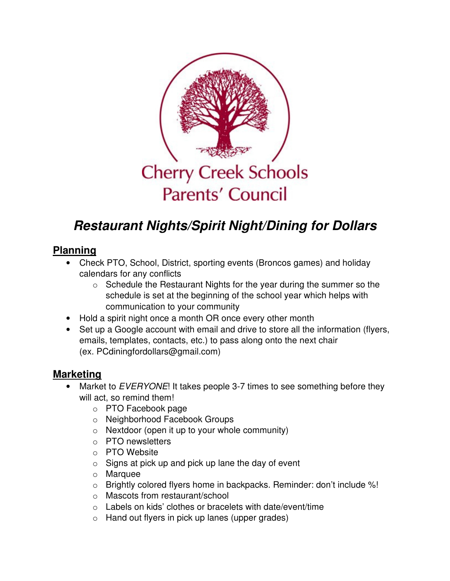

# **Restaurant Nights/Spirit Night/Dining for Dollars**

## **Planning**

- Check PTO, School, District, sporting events (Broncos games) and holiday calendars for any conflicts
	- o Schedule the Restaurant Nights for the year during the summer so the schedule is set at the beginning of the school year which helps with communication to your community
- Hold a spirit night once a month OR once every other month
- Set up a Google account with email and drive to store all the information (flyers, emails, templates, contacts, etc.) to pass along onto the next chair (ex. PCdiningfordollars@gmail.com)

### **Marketing**

- Market to EVERYONE! It takes people 3-7 times to see something before they will act, so remind them!
	- o PTO Facebook page
	- o Neighborhood Facebook Groups
	- $\circ$  Nextdoor (open it up to your whole community)
	- o PTO newsletters
	- o PTO Website
	- $\circ$  Signs at pick up and pick up lane the day of event
	- o Marquee
	- o Brightly colored flyers home in backpacks. Reminder: don't include %!
	- o Mascots from restaurant/school
	- o Labels on kids' clothes or bracelets with date/event/time
	- o Hand out flyers in pick up lanes (upper grades)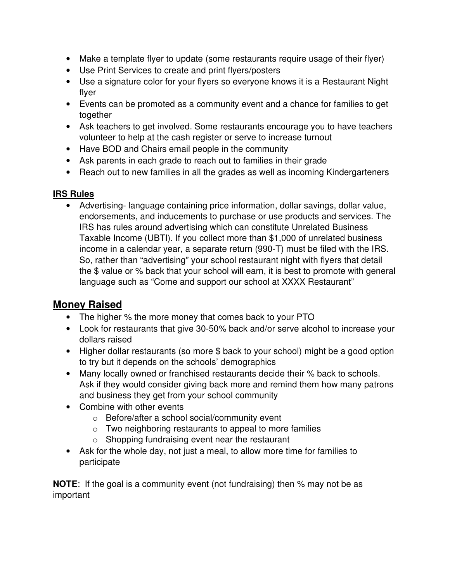- Make a template flyer to update (some restaurants require usage of their flyer)
- Use Print Services to create and print flyers/posters
- Use a signature color for your flyers so everyone knows it is a Restaurant Night flyer
- Events can be promoted as a community event and a chance for families to get together
- Ask teachers to get involved. Some restaurants encourage you to have teachers volunteer to help at the cash register or serve to increase turnout
- Have BOD and Chairs email people in the community
- Ask parents in each grade to reach out to families in their grade
- Reach out to new families in all the grades as well as incoming Kindergarteners

#### **IRS Rules**

• Advertising- language containing price information, dollar savings, dollar value, endorsements, and inducements to purchase or use products and services. The IRS has rules around advertising which can constitute Unrelated Business Taxable Income (UBTI). If you collect more than \$1,000 of unrelated business income in a calendar year, a separate return (990-T) must be filed with the IRS. So, rather than "advertising" your school restaurant night with flyers that detail the \$ value or % back that your school will earn, it is best to promote with general language such as "Come and support our school at XXXX Restaurant"

## **Money Raised**

- The higher % the more money that comes back to your PTO
- Look for restaurants that give 30-50% back and/or serve alcohol to increase your dollars raised
- Higher dollar restaurants (so more \$ back to your school) might be a good option to try but it depends on the schools' demographics
- Many locally owned or franchised restaurants decide their % back to schools. Ask if they would consider giving back more and remind them how many patrons and business they get from your school community
- Combine with other events
	- o Before/after a school social/community event
	- $\circ$  Two neighboring restaurants to appeal to more families
	- o Shopping fundraising event near the restaurant
- Ask for the whole day, not just a meal, to allow more time for families to participate

**NOTE:** If the goal is a community event (not fundraising) then % may not be as important